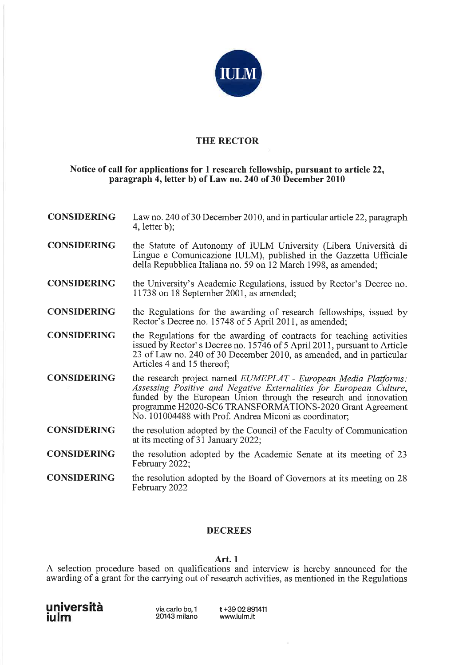

# **THE RECTOR**

### Notice of call for applications for 1 research fellowship, pursuant to article 22, paragraph 4, letter b) of Law no. 240 of 30 December 2010

| <b>CONSIDERING</b> | Law no. 240 of 30 December 2010, and in particular article 22, paragraph |
|--------------------|--------------------------------------------------------------------------|
|                    | 4, letter b);                                                            |

- **CONSIDERING** the Statute of Autonomy of IULM University (Libera Università di Lingue e Comunicazione IULM), published in the Gazzetta Ufficiale della Repubblica Italiana no. 59 on 12 March 1998, as amended;
- **CONSIDERING** the University's Academic Regulations, issued by Rector's Decree no. 11738 on 18 September 2001, as amended;
- **CONSIDERING** the Regulations for the awarding of research fellowships, issued by Rector's Decree no. 15748 of 5 April 2011, as amended;
- **CONSIDERING** the Regulations for the awarding of contracts for teaching activities issued by Rector's Decree no. 15746 of 5 April 2011, pursuant to Article 23 of Law no. 240 of 30 December 2010, as amended, and in particular Articles 4 and 15 thereof:
- **CONSIDERING** the research project named EUMEPLAT - European Media Platforms: Assessing Positive and Negative Externalities for European Culture, funded by the European Union through the research and innovation programme H2020-SC6 TRANSFORMATIONS-2020 Grant Agreement No. 101004488 with Prof. Andrea Miconi as coordinator;
- **CONSIDERING** the resolution adopted by the Council of the Faculty of Communication at its meeting of  $3\overline{1}$  January 2022;
- **CONSIDERING** the resolution adopted by the Academic Senate at its meeting of 23 February 2022;
- **CONSIDERING** the resolution adopted by the Board of Governors at its meeting on 28 February 2022

#### **DECREES**

#### Art. 1

A selection procedure based on qualifications and interview is hereby announced for the awarding of a grant for the carrying out of research activities, as mentioned in the Regulations

università iulm

via carlo bo, 1 20143 milano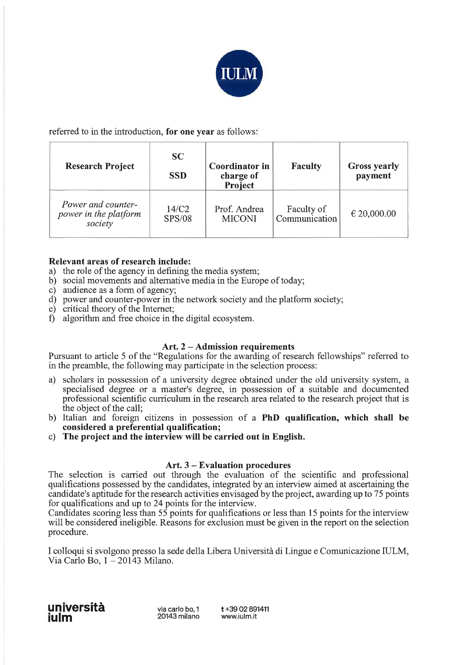

referred to in the introduction, for one year as follows:

| <b>Research Project</b>                                | <b>SC</b><br><b>SSD</b> | Coordinator in<br>charge of<br>Project | <b>Faculty</b>              | <b>Gross yearly</b><br>payment |
|--------------------------------------------------------|-------------------------|----------------------------------------|-----------------------------|--------------------------------|
| Power and counter-<br>power in the platform<br>society | 14/C2<br><b>SPS/08</b>  | Prof. Andrea<br><b>MICONI</b>          | Faculty of<br>Communication | $\in 20,000.00$                |

# Relevant areas of research include:

- a) the role of the agency in defining the media system;
- b) social movements and alternative media in the Europe of today;
- c) audience as a form of agency:
- d) power and counter-power in the network society and the platform society;
- e) critical theory of the Internet;
- algorithm and free choice in the digital ecosystem.  $\mathsf{f}$

## Art. 2 – Admission requirements

Pursuant to article 5 of the "Regulations for the awarding of research fellowships" referred to in the preamble, the following may participate in the selection process:

- a) scholars in possession of a university degree obtained under the old university system, a specialised degree or a master's degree, in possession of a suitable and documented professional scientific curriculum in the research area related to the research project that is the object of the call;
- b) Italian and foreign citizens in possession of a PhD qualification, which shall be considered a preferential qualification;
- c) The project and the interview will be carried out in English.

## Art. 3 – Evaluation procedures

The selection is carried out through the evaluation of the scientific and professional qualifications possessed by the candidates, integrated by an interview aimed at ascertaining the candidate's aptitude for the research activities envisaged by the project, awarding up to 75 points for qualifications and up to 24 points for the interview.

Candidates scoring less than 55 points for qualifications or less than 15 points for the interview will be considered ineligible. Reasons for exclusion must be given in the report on the selection procedure.

I colloqui si svolgono presso la sede della Libera Università di Lingue e Comunicazione IULM, Via Carlo Bo,  $1 - 20143$  Milano.

università iulm

via carlo bo, 1 20143 milano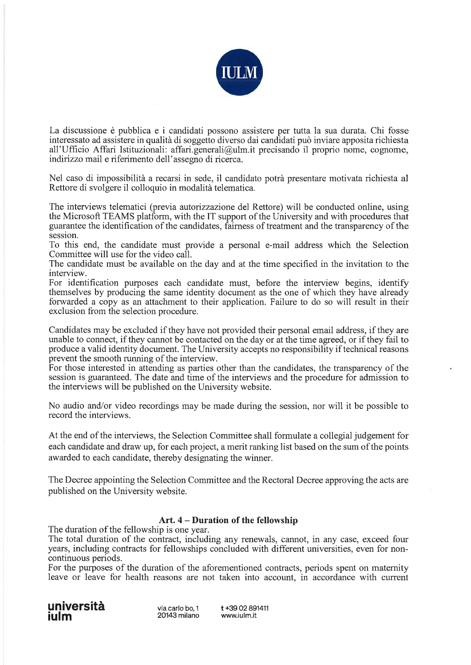

La discussione è pubblica e i candidati possono assistere per tutta la sua durata. Chi fosse interessato ad assistere in qualità di soggetto diverso dai candidati può inviare apposita richiesta all'Ufficio Affari Istituzionali: affari.generali@ulm.it precisando il proprio nome, cognome, indirizzo mail e riferimento dell'assegno di ricerca.

Nel caso di impossibilità a recarsi in sede, il candidato potrà presentare motivata richiesta al Rettore di svolgere il colloquio in modalità telematica.

The interviews telematici (previa autorizzazione del Rettore) will be conducted online, using the Microsoft TEAMS platform, with the IT support of the University and with procedures that guarantee the identification of the candidates, fairness of treatment and the transparency of the session.

To this end, the candidate must provide a personal e-mail address which the Selection Committee will use for the video call.

The candidate must be available on the day and at the time specified in the invitation to the interview.

For identification purposes each candidate must, before the interview begins, identify themselves by producing the same identity document as the one of which they have already forwarded a copy as an attachment to their application. Failure to do so will result in their exclusion from the selection procedure.

Candidates may be excluded if they have not provided their personal email address, if they are unable to connect, if they cannot be contacted on the day or at the time agreed, or if they fail to produce a valid identity document. The University accepts no responsibility if technical reasons prevent the smooth running of the interview.

For those interested in attending as parties other than the candidates, the transparency of the session is guaranteed. The date and time of the interviews and the procedure for admission to the interviews will be published on the University website.

No audio and/or video recordings may be made during the session, nor will it be possible to record the interviews.

At the end of the interviews, the Selection Committee shall formulate a collegial judgement for each candidate and draw up, for each project, a merit ranking list based on the sum of the points awarded to each candidate, thereby designating the winner.

The Decree appointing the Selection Committee and the Rectoral Decree approving the acts are published on the University website.

## Art. 4 – Duration of the fellowship

The duration of the fellowship is one year.

The total duration of the contract, including any renewals, cannot, in any case, exceed four years, including contracts for fellowships concluded with different universities, even for noncontinuous periods.

For the purposes of the duration of the aforementioned contracts, periods spent on maternity leave or leave for health reasons are not taken into account, in accordance with current

università <u>iulm</u>

via carlo bo. 1 20143 milano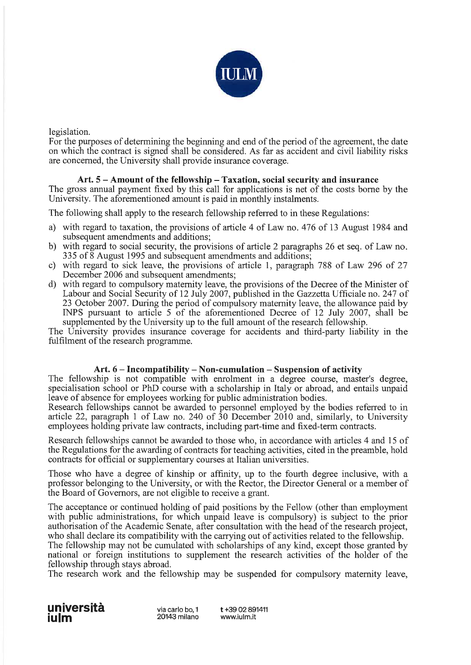

legislation.

For the purposes of determining the beginning and end of the period of the agreement, the date on which the contract is signed shall be considered. As far as accident and civil liability risks are concerned, the University shall provide insurance coverage.

Art.  $5 -$  Amount of the fellowship  $-$  Taxation, social security and insurance The gross annual payment fixed by this call for applications is net of the costs borne by the University. The aforementioned amount is paid in monthly instalments.

The following shall apply to the research fellowship referred to in these Regulations:

- a) with regard to taxation, the provisions of article 4 of Law no. 476 of 13 August 1984 and subsequent amendments and additions;
- b) with regard to social security, the provisions of article 2 paragraphs 26 et seq. of Law no.  $335$  of  $\overline{8}$  August 1995 and subsequent amendments and additions.
- c) with regard to sick leave, the provisions of article 1, paragraph 788 of Law 296 of 27 December 2006 and subsequent amendments;
- d) with regard to compulsory maternity leave, the provisions of the Decree of the Minister of Labour and Social Security of 12 July 2007, published in the Gazzetta Ufficiale no. 247 of 23 October 2007. During the period of compulsory maternity leave, the allowance paid by INPS pursuant to article 5 of the aforementioned Decree of 12 July 2007, shall be supplemented by the University up to the full amount of the research fellowship.

The University provides insurance coverage for accidents and third-party liability in the fulfilment of the research programme.

#### Art.  $6$  – Incompatibility – Non-cumulation – Suspension of activity

The fellowship is not compatible with enrolment in a degree course, master's degree, specialisation school or PhD course with a scholarship in Italy or abroad, and entails unpaid leave of absence for employees working for public administration bodies.

Research fellowships cannot be awarded to personnel employed by the bodies referred to in article 22, paragraph 1 of Law no. 240 of 30 December 2010 and, similarly, to University employees holding private law contracts, including part-time and fixed-term contracts.

Research fellowships cannot be awarded to those who, in accordance with articles 4 and 15 of the Regulations for the awarding of contracts for teaching activities, cited in the preamble, hold contracts for official or supplementary courses at Italian universities.

Those who have a degree of kinship or affinity, up to the fourth degree inclusive, with a professor belonging to the University, or with the Rector, the Director General or a member of the Board of Governors, are not eligible to receive a grant.

The acceptance or continued holding of paid positions by the Fellow (other than employment with public administrations, for which unpaid leave is compulsory) is subject to the prior authorisation of the Academic Senate, after consultation with the head of the research project, who shall declare its compatibility with the carrying out of activities related to the fellowship. The fellowship may not be cumulated with scholarships of any kind, except those granted by national or foreign institutions to supplement the research activities of the holder of the fellowship through stays abroad.

The research work and the fellowship may be suspended for compulsory maternity leave,

università iulm

via carlo bo, 1 20143 milano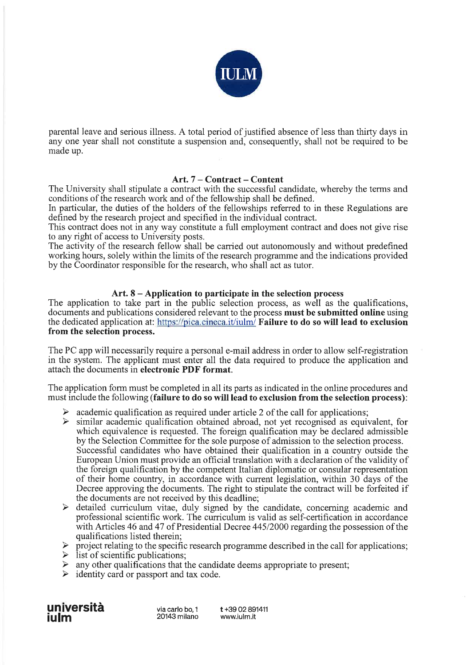

parental leave and serious illness. A total period of justified absence of less than thirty days in any one year shall not constitute a suspension and, consequently, shall not be required to be made up.

### Art.  $7 -$ Contract – Content

The University shall stipulate a contract with the successful candidate, whereby the terms and conditions of the research work and of the fellowship shall be defined.

In particular, the duties of the holders of the fellowships referred to in these Regulations are defined by the research project and specified in the individual contract.

This contract does not in any way constitute a full employment contract and does not give rise to any right of access to University posts.

The activity of the research fellow shall be carried out autonomously and without predefined working hours, solely within the limits of the research programme and the indications provided by the Coordinator responsible for the research, who shall act as tutor.

### Art.  $8$  – Application to participate in the selection process

The application to take part in the public selection process, as well as the qualifications, documents and publications considered relevant to the process must be submitted online using the dedicated application at: https://pica.cineca.it/julm/ **Failure to do so will lead to exclusion** from the selection process.

The PC app will necessarily require a personal e-mail address in order to allow self-registration in the system. The applicant must enter all the data required to produce the application and attach the documents in electronic PDF format.

The application form must be completed in all its parts as indicated in the online procedures and must include the following (failure to do so will lead to exclusion from the selection process):

- academic qualification as required under article 2 of the call for applications;
- $\blacktriangleright$ similar academic qualification obtained abroad, not yet recognised as equivalent, for which equivalence is requested. The foreign qualification may be declared admissible by the Selection Committee for the sole purpose of admission to the selection process. Successful candidates who have obtained their qualification in a country outside the European Union must provide an official translation with a declaration of the validity of the foreign qualification by the competent Italian diplomatic or consular representation of their home country, in accordance with current legislation, within 30 days of the Decree approving the documents. The right to stipulate the contract will be forfeited if the documents are not received by this deadline;
- $\blacktriangleright$ detailed curriculum vitae, duly signed by the candidate, concerning academic and professional scientific work. The curriculum is valid as self-certification in accordance with Articles 46 and 47 of Presidential Decree 445/2000 regarding the possession of the qualifications listed therein;
- project relating to the specific research programme described in the call for applications;
- $\blacktriangleright$ list of scientific publications;
- $\triangleright$  any other qualifications that the candidate deems appropriate to present;
- $\triangleright$  identity card or passport and tax code.

università iulm

via carlo bo, 1 20143 milano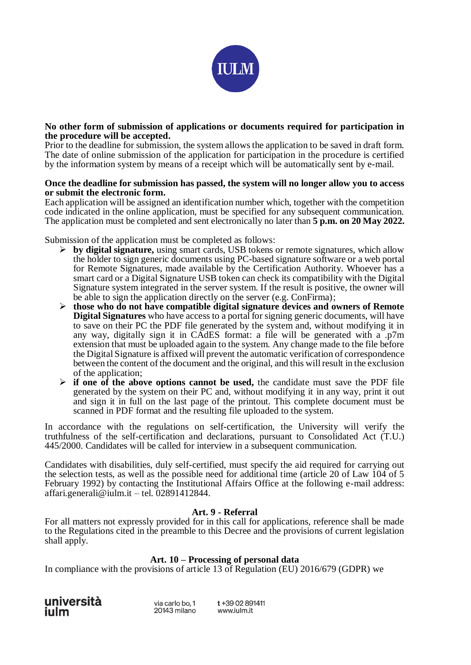

### **No other form of submission of applications or documents required for participation in the procedure will be accepted.**

Prior to the deadline for submission, the system allows the application to be saved in draft form. The date of online submission of the application for participation in the procedure is certified by the information system by means of a receipt which will be automatically sent by e-mail.

#### **Once the deadline for submission has passed, the system will no longer allow you to access or submit the electronic form.**

Each application will be assigned an identification number which, together with the competition code indicated in the online application, must be specified for any subsequent communication. The application must be completed and sent electronically no later than **5 p.m. on 20 May 2022.** 

Submission of the application must be completed as follows:

- **by digital signature,** using smart cards, USB tokens or remote signatures, which allow the holder to sign generic documents using PC-based signature software or a web portal for Remote Signatures, made available by the Certification Authority. Whoever has a smart card or a Digital Signature USB token can check its compatibility with the Digital Signature system integrated in the server system. If the result is positive, the owner will be able to sign the application directly on the server (e.g. ConFirma);
- **those who do not have compatible digital signature devices and owners of Remote Digital Signatures** who have access to a portal for signing generic documents, will have to save on their PC the PDF file generated by the system and, without modifying it in any way, digitally sign it in CAdES format: a file will be generated with a .p7m extension that must be uploaded again to the system. Any change made to the file before the Digital Signature is affixed will prevent the automatic verification of correspondence between the content of the document and the original, and this will result in the exclusion of the application;
- **if one of the above options cannot be used,** the candidate must save the PDF file generated by the system on their PC and, without modifying it in any way, print it out and sign it in full on the last page of the printout. This complete document must be scanned in PDF format and the resulting file uploaded to the system.

In accordance with the regulations on self-certification, the University will verify the truthfulness of the self-certification and declarations, pursuant to Consolidated Act (T.U.) 445/2000. Candidates will be called for interview in a subsequent communication.

Candidates with disabilities, duly self-certified, must specify the aid required for carrying out the selection tests, as well as the possible need for additional time (article 20 of Law 104 of 5 February 1992) by contacting the Institutional Affairs Office at the following e-mail address: affari.generali@iulm.it – tel. 02891412844.

#### **Art. 9 - Referral**

For all matters not expressly provided for in this call for applications, reference shall be made to the Regulations cited in the preamble to this Decree and the provisions of current legislation shall apply.

## **Art. 10 – Processing of personal data**

In compliance with the provisions of article 13 of Regulation (EU) 2016/679 (GDPR) we

# università iulm

via carlo bo.1 20143 milano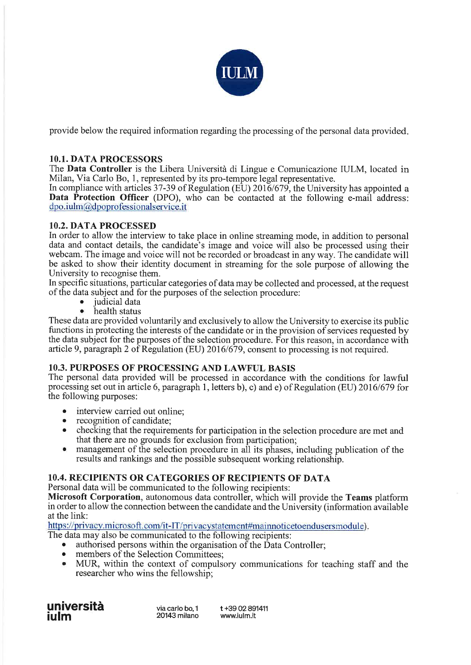

provide below the required information regarding the processing of the personal data provided.

## **10.1. DATA PROCESSORS**

The **Data Controller** is the Libera Università di Lingue e Comunicazione IULM, located in Milan, Via Carlo Bo, 1, represented by its pro-tempore legal representative.

In compliance with articles 37-39 of Regulation (EU) 2016/679, the University has appointed a **Data Protection Officer** (DPO), who can be contacted at the following e-mail address: dpo.iulm@dpoprofessionalservice.it

## **10.2. DATA PROCESSED**

In order to allow the interview to take place in online streaming mode, in addition to personal data and contact details, the candidate's image and voice will also be processed using their webcam. The image and voice will not be recorded or broadcast in any way. The candidate will be asked to show their identity document in streaming for the sole purpose of allowing the University to recognise them.

In specific situations, particular categories of data may be collected and processed, at the request of the data subject and for the purposes of the selection procedure:

- *iudicial* data  $\bullet$
- health status

These data are provided voluntarily and exclusively to allow the University to exercise its public functions in protecting the interests of the candidate or in the provision of services requested by the data subject for the purposes of the selection procedure. For this reason, in accordance with article 9, paragraph 2 of Regulation (EU) 2016/679, consent to processing is not required.

## 10.3. PURPOSES OF PROCESSING AND LAWFUL BASIS

The personal data provided will be processed in accordance with the conditions for lawful processing set out in article 6, paragraph 1, letters b), c) and e) of Regulation (EU) 2016/679 for the following purposes:

- interview carried out online;  $\bullet$
- recognition of candidate:  $\bullet$
- checking that the requirements for participation in the selection procedure are met and  $\bullet$ that there are no grounds for exclusion from participation;
- management of the selection procedure in all its phases, including publication of the  $\bullet$ results and rankings and the possible subsequent working relationship.

# 10.4. RECIPIENTS OR CATEGORIES OF RECIPIENTS OF DATA

Personal data will be communicated to the following recipients:

Microsoft Corporation, autonomous data controller, which will provide the Teams platform in order to allow the connection between the candidate and the University (information available at the link:

https://privacy.microsoft.com/it-IT/privacystatement#mainnoticetoendusersmodule).

The data may also be communicated to the following recipients:

- authorised persons within the organisation of the Data Controller.  $\bullet$
- members of the Selection Committees;  $\bullet$
- MUR, within the context of compulsory communications for teaching staff and the  $\bullet$ researcher who wins the fellowship;

università **julm** 

via carlo bo.1 20143 milano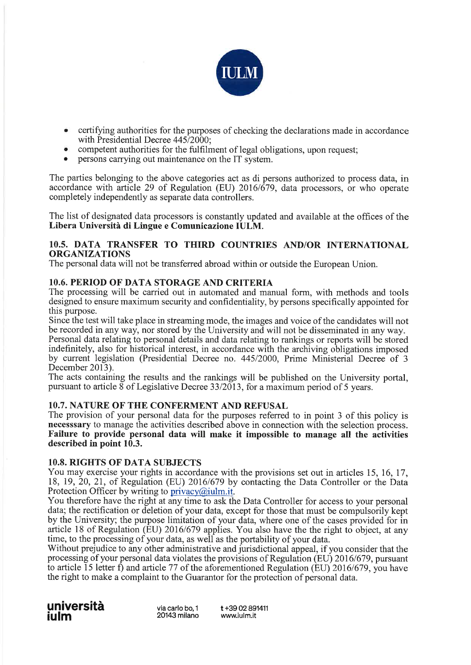

- certifying authorities for the purposes of checking the declarations made in accordance with Presidential Decree 445/2000:
- competent authorities for the fulfilment of legal obligations, upon request;
- persons carrying out maintenance on the IT system.

The parties belonging to the above categories act as di persons authorized to process data, in accordance with article 29 of Regulation (EU)  $2016/\overline{679}$ , data processors, or who operate completely independently as separate data controllers.

The list of designated data processors is constantly updated and available at the offices of the Libera Università di Lingue e Comunicazione IULM.

### 10.5. DATA TRANSFER TO THIRD COUNTRIES AND/OR INTERNATIONAL **ORGANIZATIONS**

The personal data will not be transferred abroad within or outside the European Union.

## **10.6. PERIOD OF DATA STORAGE AND CRITERIA**

The processing will be carried out in automated and manual form, with methods and tools designed to ensure maximum security and confidentiality, by persons specifically appointed for this purpose.

Since the test will take place in streaming mode, the images and voice of the candidates will not be recorded in any way, nor stored by the University and will not be disseminated in any way. Personal data relating to personal details and data relating to rankings or reports will be stored indefinitely, also for historical interest, in accordance with the archiving obligations imposed by current legislation (Presidential Decree no. 445/2000, Prime Ministerial Decree of 3 December 2013).

The acts containing the results and the rankings will be published on the University portal, pursuant to article  $\bar{8}$  of Legislative Decree 33/2013, for a maximum period of 5 years.

## **10.7. NATURE OF THE CONFERMENT AND REFUSAL**

The provision of your personal data for the purposes referred to in point 3 of this policy is necessary to manage the activities described above in connection with the selection process. Failure to provide personal data will make it impossible to manage all the activities described in point 10.3.

## **10.8. RIGHTS OF DATA SUBJECTS**

You may exercise your rights in accordance with the provisions set out in articles 15, 16, 17, 18, 19, 20, 21, of Regulation (EU) 2016/679 by contacting the Data Controller or the Data Protection Officer by writing to privacy@iulm.it.

You therefore have the right at any time to ask the Data Controller for access to your personal data; the rectification or deletion of your data, except for those that must be compulsorily kept by the University; the purpose limitation of your data, where one of the cases provided for in article 18 of Regulation (EU) 2016/679 applies. You also have the the right to object, at any time, to the processing of your data, as well as the portability of your data.

Without prejudice to any other administrative and jurisdictional appeal, if you consider that the processing of your personal data violates the provisions of Regulation (EU) 2016/679, pursuant to article 15 letter f) and article 77 of the aforementioned Regulation (EU) 2016/679, you have the right to make a complaint to the Guarantor for the protection of personal data.

università iulm

via carlo bo, 1 20143 milano